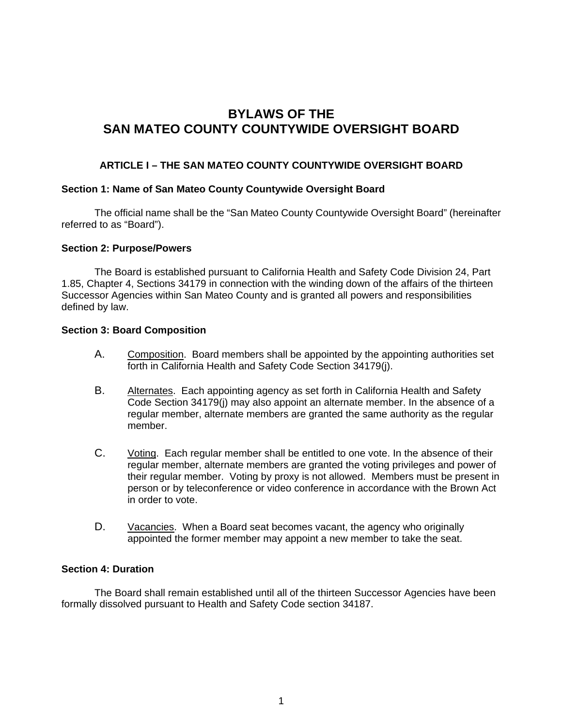# **BYLAWS OF THE SAN MATEO COUNTY COUNTYWIDE OVERSIGHT BOARD**

## **ARTICLE I – THE SAN MATEO COUNTY COUNTYWIDE OVERSIGHT BOARD**

#### **Section 1: Name of San Mateo County Countywide Oversight Board**

The official name shall be the "San Mateo County Countywide Oversight Board" (hereinafter referred to as "Board").

#### **Section 2: Purpose/Powers**

The Board is established pursuant to California Health and Safety Code Division 24, Part 1.85, Chapter 4, Sections 34179 in connection with the winding down of the affairs of the thirteen Successor Agencies within San Mateo County and is granted all powers and responsibilities defined by law.

#### **Section 3: Board Composition**

- A. Composition. Board members shall be appointed by the appointing authorities set forth in California Health and Safety Code Section 34179(j).
- B. Alternates. Each appointing agency as set forth in California Health and Safety Code Section 34179(j) may also appoint an alternate member. In the absence of a regular member, alternate members are granted the same authority as the regular member.
- C. Voting. Each regular member shall be entitled to one vote. In the absence of their regular member, alternate members are granted the voting privileges and power of their regular member. Voting by proxy is not allowed. Members must be present in person or by teleconference or video conference in accordance with the Brown Act in order to vote.
- D. Vacancies. When a Board seat becomes vacant, the agency who originally appointed the former member may appoint a new member to take the seat.

#### **Section 4: Duration**

The Board shall remain established until all of the thirteen Successor Agencies have been formally dissolved pursuant to Health and Safety Code section 34187.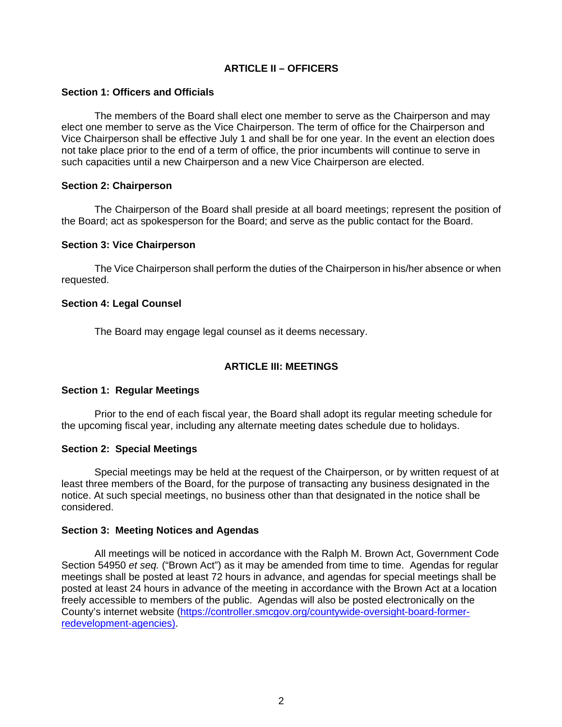## **ARTICLE II – OFFICERS**

## **Section 1: Officers and Officials**

The members of the Board shall elect one member to serve as the Chairperson and may elect one member to serve as the Vice Chairperson. The term of office for the Chairperson and Vice Chairperson shall be effective July 1 and shall be for one year. In the event an election does not take place prior to the end of a term of office, the prior incumbents will continue to serve in such capacities until a new Chairperson and a new Vice Chairperson are elected.

## **Section 2: Chairperson**

The Chairperson of the Board shall preside at all board meetings; represent the position of the Board; act as spokesperson for the Board; and serve as the public contact for the Board.

## **Section 3: Vice Chairperson**

The Vice Chairperson shall perform the duties of the Chairperson in his/her absence or when requested.

## **Section 4: Legal Counsel**

The Board may engage legal counsel as it deems necessary.

## **ARTICLE III: MEETINGS**

## **Section 1: Regular Meetings**

Prior to the end of each fiscal year, the Board shall adopt its regular meeting schedule for the upcoming fiscal year, including any alternate meeting dates schedule due to holidays.

#### **Section 2: Special Meetings**

Special meetings may be held at the request of the Chairperson, or by written request of at least three members of the Board, for the purpose of transacting any business designated in the notice. At such special meetings, no business other than that designated in the notice shall be considered.

#### **Section 3: Meeting Notices and Agendas**

All meetings will be noticed in accordance with the Ralph M. Brown Act, Government Code Section 54950 *et seq.* ("Brown Act") as it may be amended from time to time. Agendas for regular meetings shall be posted at least 72 hours in advance, and agendas for special meetings shall be posted at least 24 hours in advance of the meeting in accordance with the Brown Act at a location freely accessible to members of the public. Agendas will also be posted electronically on the County's internet website (https://controller.smcgov.org/countywide-oversight-board-formerredevelopment-agencies).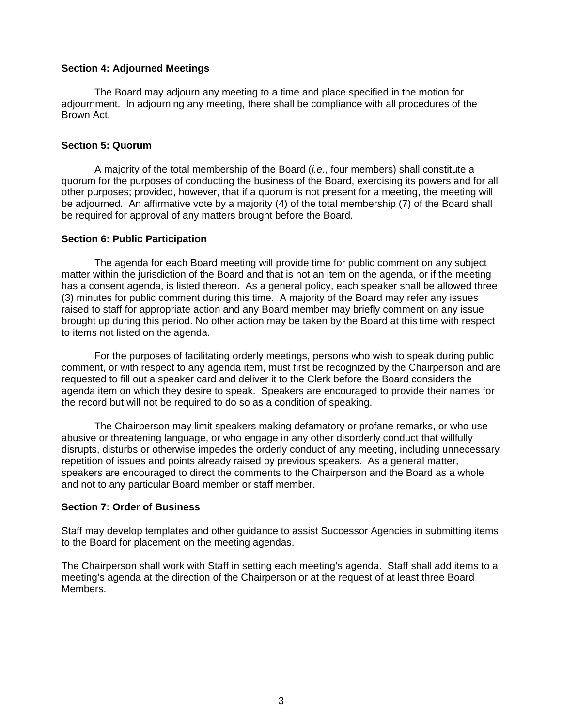#### **Section 4: Adjourned Meetings**

The Board may adjourn any meeting to a time and place specified in the motion for adjournment. In adjourning any meeting, there shall be compliance with all procedures of the Brown Act.

## **Section 5: Quorum**

A majority of the total membership of the Board (*i.e.*, four members) shall constitute a quorum for the purposes of conducting the business of the Board, exercising its powers and for all other purposes; provided, however, that if a quorum is not present for a meeting, the meeting will be adjourned. An affirmative vote by a majority (4) of the total membership (7) of the Board shall be required for approval of any matters brought before the Board.

## **Section 6: Public Participation**

The agenda for each Board meeting will provide time for public comment on any subject matter within the jurisdiction of the Board and that is not an item on the agenda, or if the meeting has a consent agenda, is listed thereon. As a general policy, each speaker shall be allowed three (3) minutes for public comment during this time. A majority of the Board may refer any issues raised to staff for appropriate action and any Board member may briefly comment on any issue brought up during this period. No other action may be taken by the Board at this time with respect to items not listed on the agenda.

For the purposes of facilitating orderly meetings, persons who wish to speak during public comment, or with respect to any agenda item, must first be recognized by the Chairperson and are requested to fill out a speaker card and deliver it to the Clerk before the Board considers the agenda item on which they desire to speak. Speakers are encouraged to provide their names for the record but will not be required to do so as a condition of speaking.

The Chairperson may limit speakers making defamatory or profane remarks, or who use abusive or threatening language, or who engage in any other disorderly conduct that willfully disrupts, disturbs or otherwise impedes the orderly conduct of any meeting, including unnecessary repetition of issues and points already raised by previous speakers. As a general matter, speakers are encouraged to direct the comments to the Chairperson and the Board as a whole and not to any particular Board member or staff member.

#### **Section 7: Order of Business**

Staff may develop templates and other guidance to assist Successor Agencies in submitting items to the Board for placement on the meeting agendas.

The Chairperson shall work with Staff in setting each meeting's agenda. Staff shall add items to a meeting's agenda at the direction of the Chairperson or at the request of at least three Board Members.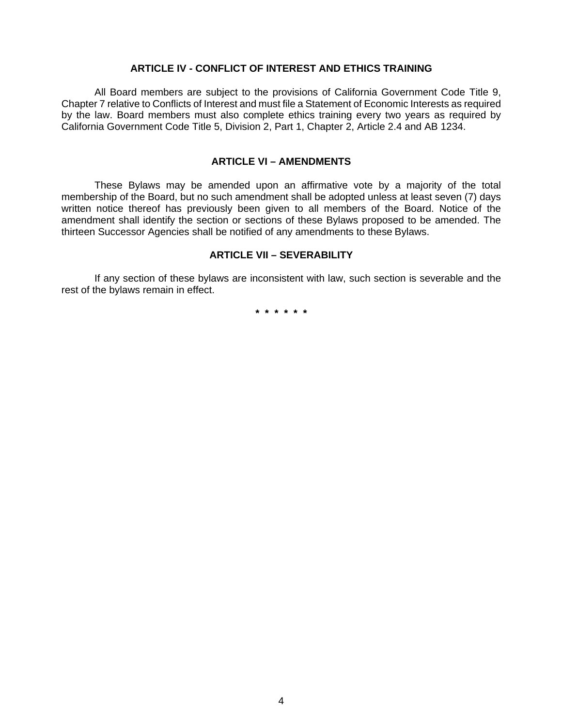#### **ARTICLE IV - CONFLICT OF INTEREST AND ETHICS TRAINING**

All Board members are subject to the provisions of California Government Code Title 9, Chapter 7 relative to Conflicts of Interest and must file a Statement of Economic Interests as required by the law. Board members must also complete ethics training every two years as required by California Government Code Title 5, Division 2, Part 1, Chapter 2, Article 2.4 and AB 1234.

## **ARTICLE VI – AMENDMENTS**

These Bylaws may be amended upon an affirmative vote by a majority of the total membership of the Board, but no such amendment shall be adopted unless at least seven (7) days written notice thereof has previously been given to all members of the Board. Notice of the amendment shall identify the section or sections of these Bylaws proposed to be amended. The thirteen Successor Agencies shall be notified of any amendments to these Bylaws.

#### **ARTICLE VII – SEVERABILITY**

If any section of these bylaws are inconsistent with law, such section is severable and the rest of the bylaws remain in effect.

**\* \* \* \* \* \***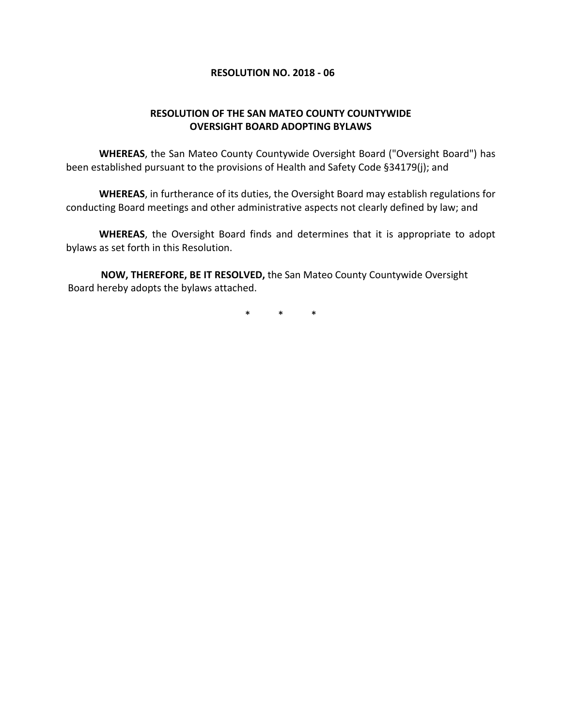## **RESOLUTION NO. 2018 ‐ 06**

## **RESOLUTION OF THE SAN MATEO COUNTY COUNTYWIDE OVERSIGHT BOARD ADOPTING BYLAWS**

**WHEREAS**, the San Mateo County Countywide Oversight Board ("Oversight Board") has been established pursuant to the provisions of Health and Safety Code §34179(j); and

**WHEREAS**, in furtherance of its duties, the Oversight Board may establish regulations for conducting Board meetings and other administrative aspects not clearly defined by law; and

**WHEREAS**, the Oversight Board finds and determines that it is appropriate to adopt bylaws as set forth in this Resolution.

**NOW, THEREFORE, BE IT RESOLVED,** the San Mateo County Countywide Oversight Board hereby adopts the bylaws attached.

\* \* \*